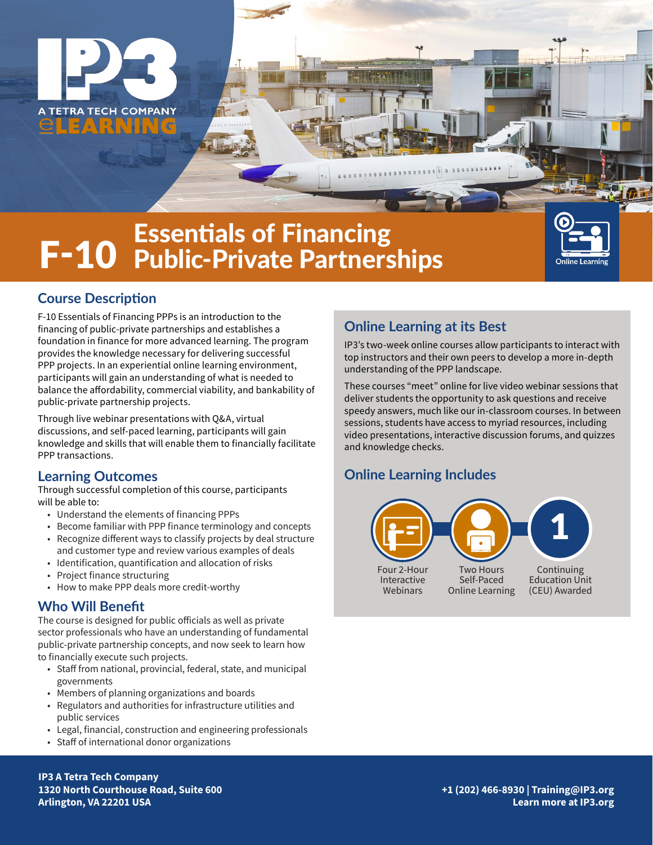

# F-10 Essentials of Financing Public-Private Partnerships



## **Course Description**

F-10 Essentials of Financing PPPs is an introduction to the financing of public-private partnerships and establishes a foundation in finance for more advanced learning. The program provides the knowledge necessary for delivering successful PPP projects. In an experiential online learning environment, participants will gain an understanding of what is needed to balance the affordability, commercial viability, and bankability of public-private partnership projects.

Through live webinar presentations with Q&A, virtual discussions, and self-paced learning, participants will gain knowledge and skills that will enable them to financially facilitate PPP transactions.

### **Learning Outcomes**

Through successful completion of this course, participants will be able to:

- Understand the elements of financing PPPs
- Become familiar with PPP finance terminology and concepts
- Recognize different ways to classify projects by deal structure and customer type and review various examples of deals
- Identification, quantification and allocation of risks
- Project finance structuring
- How to make PPP deals more credit-worthy

### **Who Will Benefit**

The course is designed for public officials as well as private sector professionals who have an understanding of fundamental public-private partnership concepts, and now seek to learn how to financially execute such projects.

- Staff from national, provincial, federal, state, and municipal governments
- Members of planning organizations and boards
- Regulators and authorities for infrastructure utilities and public services
- Legal, financial, construction and engineering professionals
- Staff of international donor organizations

# **Online Learning at its Best**

IP3's two-week online courses allow participants to interact with top instructors and their own peers to develop a more in-depth understanding of the PPP landscape.

These courses "meet" online for live video webinar sessions that deliver students the opportunity to ask questions and receive speedy answers, much like our in-classroom courses. In between sessions, students have access to myriad resources, including video presentations, interactive discussion forums, and quizzes and knowledge checks.

# **Online Learning Includes**



**IP3 A Tetra Tech Company 1320 North Courthouse Road, Suite 600 Arlington, VA 22201 USA**